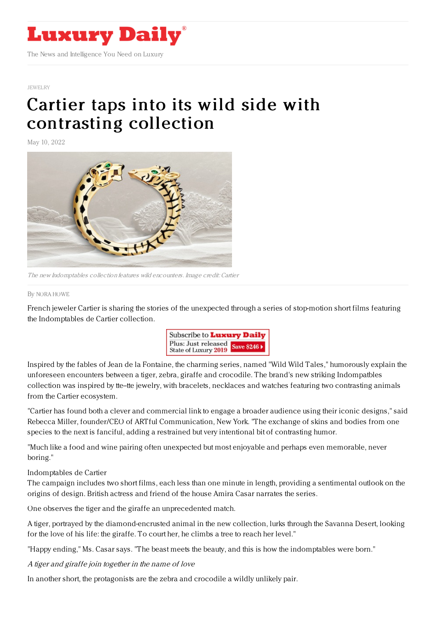

#### [JEWELRY](https://www.luxurydaily.com/category/sectors/jewelry/)

# Cartier taps into its wild side with [contrasting](https://www.luxurydaily.com/?p=349872) collection

May 10, 2022



The new Indomptables collection features wild encounters. Image credit: Cartier

### By NORA [HOWE](file:///author/nora-howe)

French jeweler Cartier is sharing the stories of the unexpected through a series of stop-motion short films featuring the Indomptables de Cartier collection.



Inspired by the fables of Jean de la Fontaine, the charming series, named "Wild Wild Tales," humorously explain the unforeseen encounters between a tiger, zebra, giraffe and crocodile. The brand's new striking Indompatbles collection was inspired by tte--tte jewelry, with bracelets, necklaces and watches featuring two contrasting animals from the Cartier ecosystem.

"Cartier has found both a clever and commercial link to engage a broader audience using their iconic designs," said Rebecca Miller, founder/CEO of ARTful Communication, New York. "The exchange of skins and bodies from one species to the next is fanciful, adding a restrained but very intentional bit of contrasting humor.

"Much like a food and wine pairing often unexpected but most enjoyable and perhaps even memorable, never boring."

## Indomptables de Cartier

The campaign includes two short films, each less than one minute in length, providing a sentimental outlook on the origins of design. British actress and friend of the house Amira Casar narrates the series.

One observes the tiger and the giraffe an unprecedented match.

A tiger, portrayed by the diamond-encrusted animal in the new collection, lurks through the Savanna Desert, looking for the love of his life: the giraffe. To court her, he climbs a tree to reach her level."

"Happy ending," Ms. Casar says. "The beast meets the beauty, and this is how the indomptables were born."

A tiger and giraffe join together in the name of love

In another short, the protagonists are the zebra and crocodile a wildly unlikely pair.